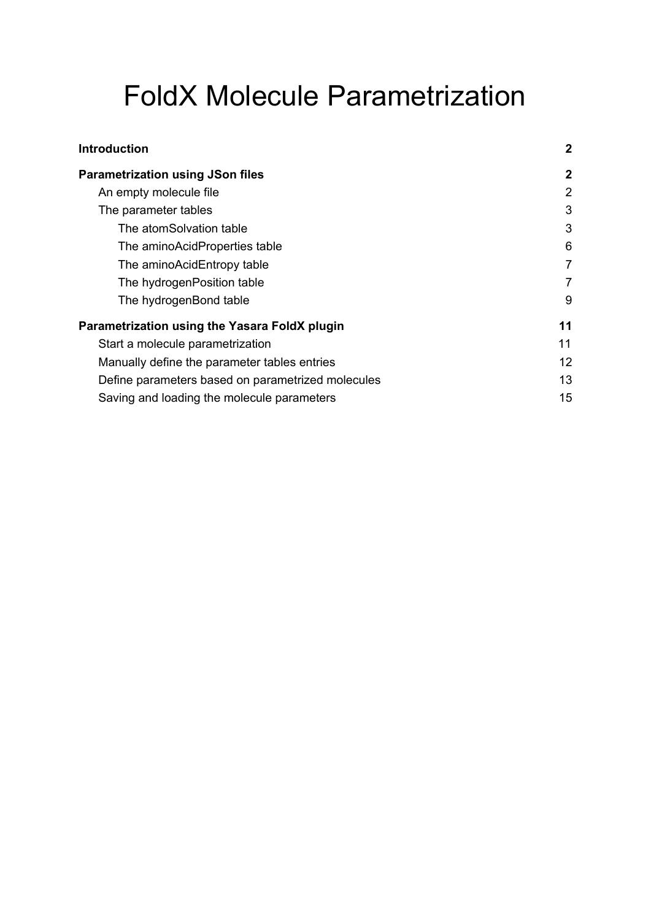# FoldX Molecule Parametrization

| <b>Introduction</b>                               | $\mathbf{2}$   |
|---------------------------------------------------|----------------|
| <b>Parametrization using JSon files</b>           | $\mathbf{2}$   |
| An empty molecule file                            | 2              |
| The parameter tables                              | 3              |
| The atomSolvation table                           | 3              |
| The aminoAcidProperties table                     | 6              |
| The aminoAcidEntropy table                        | $\overline{7}$ |
| The hydrogenPosition table                        | 7              |
| The hydrogenBond table                            | 9              |
| Parametrization using the Yasara FoldX plugin     | 11             |
| Start a molecule parametrization                  | 11             |
| Manually define the parameter tables entries      | 12             |
| Define parameters based on parametrized molecules | 13             |
| Saving and loading the molecule parameters        | 15             |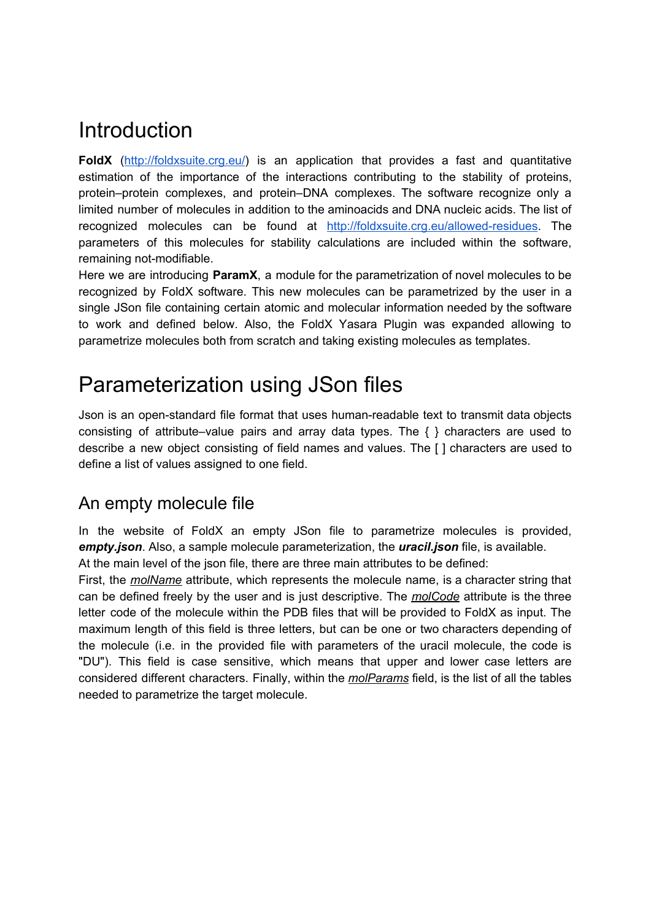# <span id="page-1-0"></span>Introduction

FoldX (<http://foldxsuite.crg.eu/>) is an application that provides a fast and quantitative estimation of the importance of the interactions contributing to the stability of proteins, protein–protein complexes, and protein–DNA complexes. The software recognize only a limited number of molecules in addition to the aminoacids and DNA nucleic acids. The list of recognized molecules can be found at <http://foldxsuite.crg.eu/allowed-residues>. The parameters of this molecules for stability calculations are included within the software, remaining not-modifiable.

Here we are introducing **ParamX**, a module for the parametrization of novel molecules to be recognized by FoldX software. This new molecules can be parametrized by the user in a single JSon file containing certain atomic and molecular information needed by the software to work and defined below. Also, the FoldX Yasara Plugin was expanded allowing to parametrize molecules both from scratch and taking existing molecules as templates.

# <span id="page-1-1"></span>Parameterization using JSon files

Json is an open-standard file format that uses human-readable text to transmit data objects consisting of attribute–value pairs and array data types. The  $\{\}$  characters are used to describe a new object consisting of field names and values. The [ ] characters are used to define a list of values assigned to one field.

# <span id="page-1-2"></span>An empty molecule file

In the website of FoldX an empty JSon file to parametrize molecules is provided, *empty.json*. Also, a sample molecule parameterization, the *uracil.json* file, is available. At the main level of the json file, there are three main attributes to be defined:

First, the *molName* attribute, which represents the molecule name, is a character string that can be defined freely by the user and is just descriptive. The *molCode* attribute is the three letter code of the molecule within the PDB files that will be provided to FoldX as input. The maximum length of this field is three letters, but can be one or two characters depending of the molecule (i.e. in the provided file with parameters of the uracil molecule, the code is "DU"). This field is case sensitive, which means that upper and lower case letters are considered different characters. Finally, within the *molParams* field, is the list of all the tables needed to parametrize the target molecule.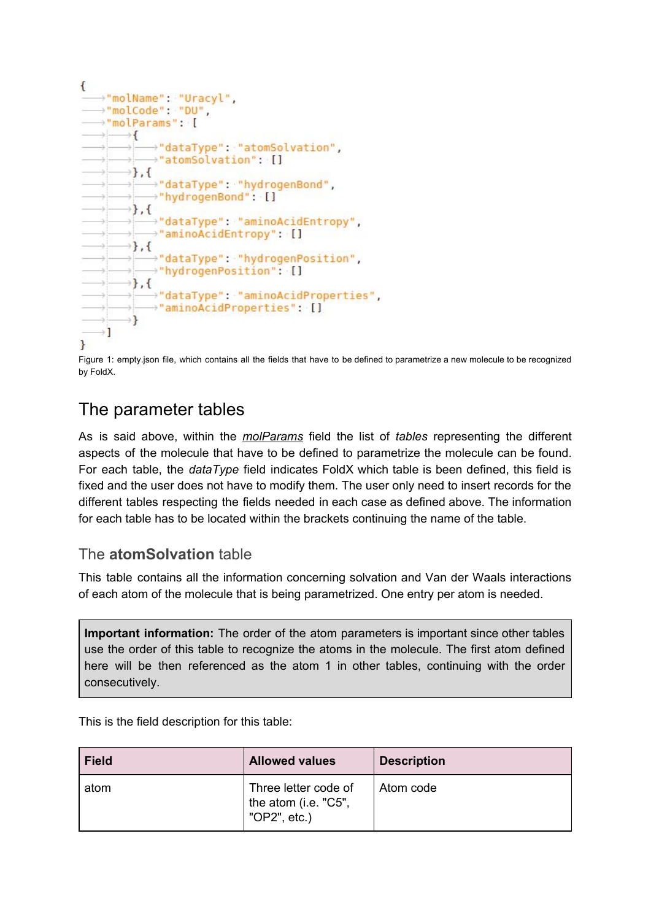

Figure 1: empty.json file, which contains all the fields that have to be defined to parametrize a new molecule to be recognized by FoldX.

### <span id="page-2-0"></span>The parameter tables

As is said above, within the *molParams* field the list of *tables* representing the different aspects of the molecule that have to be defined to parametrize the molecule can be found. For each table, the *dataType* field indicates FoldX which table is been defined, this field is fixed and the user does not have to modify them. The user only need to insert records for the different tables respecting the fields needed in each case as defined above. The information for each table has to be located within the brackets continuing the name of the table.

#### <span id="page-2-1"></span>The **atomSolvation** table

This table contains all the information concerning solvation and Van der Waals interactions of each atom of the molecule that is being parametrized. One entry per atom is needed.

**Important information:** The order of the atom parameters is important since other tables use the order of this table to recognize the atoms in the molecule. The first atom defined here will be then referenced as the atom 1 in other tables, continuing with the order consecutively.

This is the field description for this table:

| <b>Field</b> | <b>Allowed values</b>                                        | <b>Description</b> |
|--------------|--------------------------------------------------------------|--------------------|
| atom         | Three letter code of<br>the atom (i.e. "C5",<br>"OP2", etc.) | Atom code          |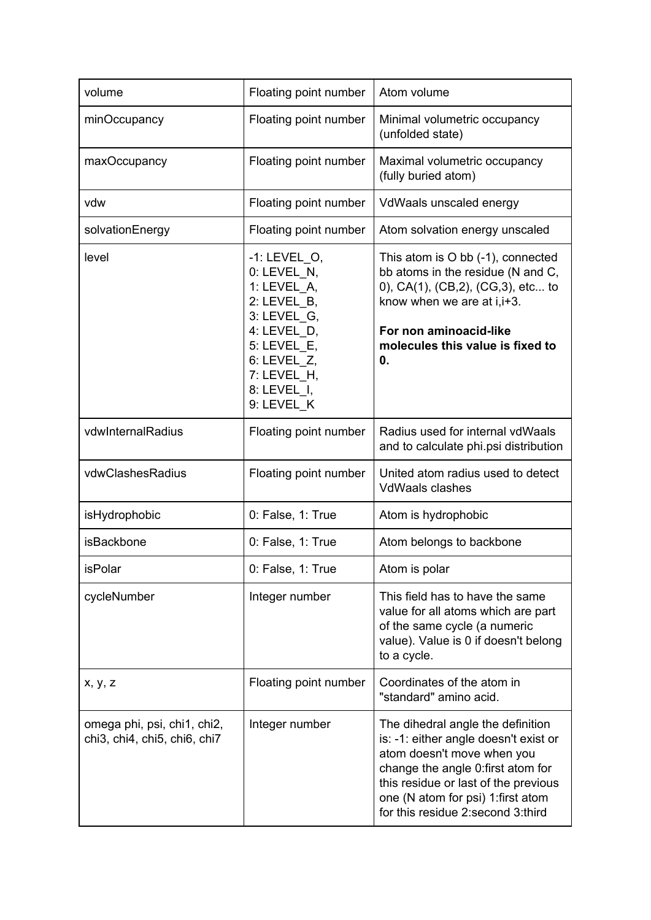| volume                                                      | Floating point number                                                                                                                                                | Atom volume                                                                                                                                                                                                                                                       |
|-------------------------------------------------------------|----------------------------------------------------------------------------------------------------------------------------------------------------------------------|-------------------------------------------------------------------------------------------------------------------------------------------------------------------------------------------------------------------------------------------------------------------|
| minOccupancy                                                | Floating point number                                                                                                                                                | Minimal volumetric occupancy<br>(unfolded state)                                                                                                                                                                                                                  |
| maxOccupancy                                                | Floating point number                                                                                                                                                | Maximal volumetric occupancy<br>(fully buried atom)                                                                                                                                                                                                               |
| vdw                                                         | Floating point number                                                                                                                                                | VdWaals unscaled energy                                                                                                                                                                                                                                           |
| solvationEnergy                                             | Floating point number                                                                                                                                                | Atom solvation energy unscaled                                                                                                                                                                                                                                    |
| level                                                       | $-1$ : LEVEL O,<br>0: LEVEL_N,<br>1: LEVEL A,<br>2: LEVEL_B,<br>3: LEVEL G,<br>4: LEVEL D,<br>5: LEVEL E,<br>6: LEVEL Z,<br>7: LEVEL H,<br>8: LEVEL I,<br>9: LEVEL_K | This atom is O bb (-1), connected<br>bb atoms in the residue (N and C,<br>0), CA(1), (CB,2), (CG,3), etc to<br>know when we are at i, i+3.<br>For non aminoacid-like<br>molecules this value is fixed to<br>0.                                                    |
| vdwInternalRadius                                           | Floating point number                                                                                                                                                | Radius used for internal vdWaals<br>and to calculate phi.psi distribution                                                                                                                                                                                         |
| vdwClashesRadius                                            | Floating point number                                                                                                                                                | United atom radius used to detect<br><b>VdWaals clashes</b>                                                                                                                                                                                                       |
| isHydrophobic                                               | 0: False, 1: True                                                                                                                                                    | Atom is hydrophobic                                                                                                                                                                                                                                               |
| <b>isBackbone</b>                                           | 0: False, 1: True                                                                                                                                                    | Atom belongs to backbone                                                                                                                                                                                                                                          |
| isPolar                                                     | 0: False, 1: True                                                                                                                                                    | Atom is polar                                                                                                                                                                                                                                                     |
| cycleNumber                                                 | Integer number                                                                                                                                                       | This field has to have the same<br>value for all atoms which are part<br>of the same cycle (a numeric<br>value). Value is 0 if doesn't belong<br>to a cycle.                                                                                                      |
| x, y, z                                                     | Floating point number                                                                                                                                                | Coordinates of the atom in<br>"standard" amino acid.                                                                                                                                                                                                              |
| omega phi, psi, chi1, chi2,<br>chi3, chi4, chi5, chi6, chi7 | Integer number                                                                                                                                                       | The dihedral angle the definition<br>is: -1: either angle doesn't exist or<br>atom doesn't move when you<br>change the angle 0: first atom for<br>this residue or last of the previous<br>one (N atom for psi) 1: first atom<br>for this residue 2:second 3:third |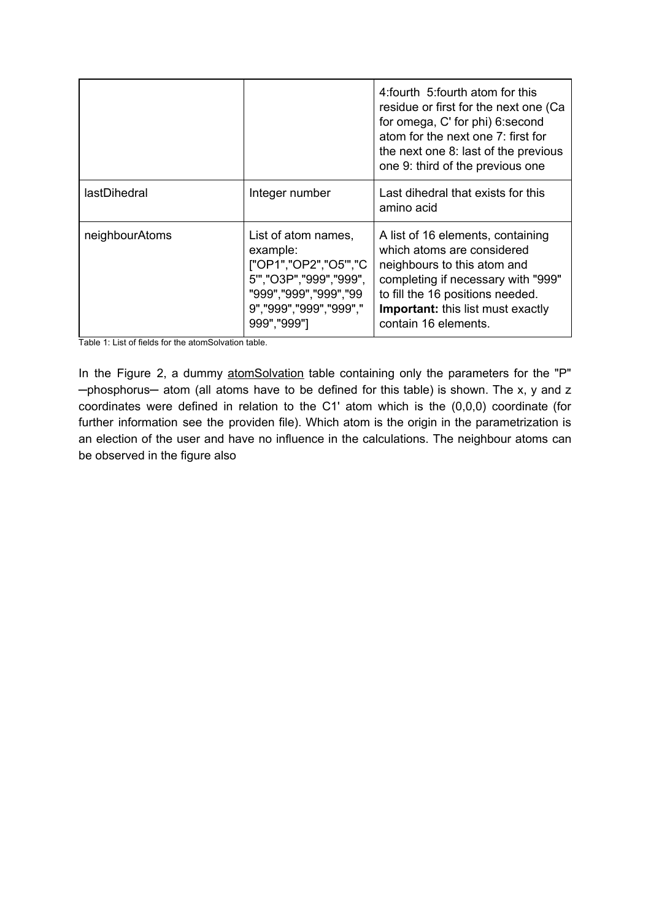|                |                                                                                                                                                      | 4: fourth 5: fourth atom for this<br>residue or first for the next one (Ca<br>for omega, C' for phi) 6: second<br>atom for the next one 7: first for<br>the next one 8: last of the previous<br>one 9: third of the previous one             |
|----------------|------------------------------------------------------------------------------------------------------------------------------------------------------|----------------------------------------------------------------------------------------------------------------------------------------------------------------------------------------------------------------------------------------------|
| lastDihedral   | Integer number                                                                                                                                       | Last dihedral that exists for this<br>amino acid                                                                                                                                                                                             |
| neighbourAtoms | List of atom names,<br>example:<br>["OP1","OP2","O5"","C<br>5","O3P","999","999",<br>"999","999","999","99<br>9","999","999","999","<br>999", "999"] | A list of 16 elements, containing<br>which atoms are considered<br>neighbours to this atom and<br>completing if necessary with "999"<br>to fill the 16 positions needed.<br><b>Important:</b> this list must exactly<br>contain 16 elements. |

Table 1: List of fields for the atomSolvation table.

In the Figure 2, a dummy atomSolvation table containing only the parameters for the "P" -phosphorus- atom (all atoms have to be defined for this table) is shown. The x, y and z coordinates were defined in relation to the C1' atom which is the (0,0,0) coordinate (for further information see the providen file). Which atom is the origin in the parametrization is an election of the user and have no influence in the calculations. The neighbour atoms can be observed in the figure also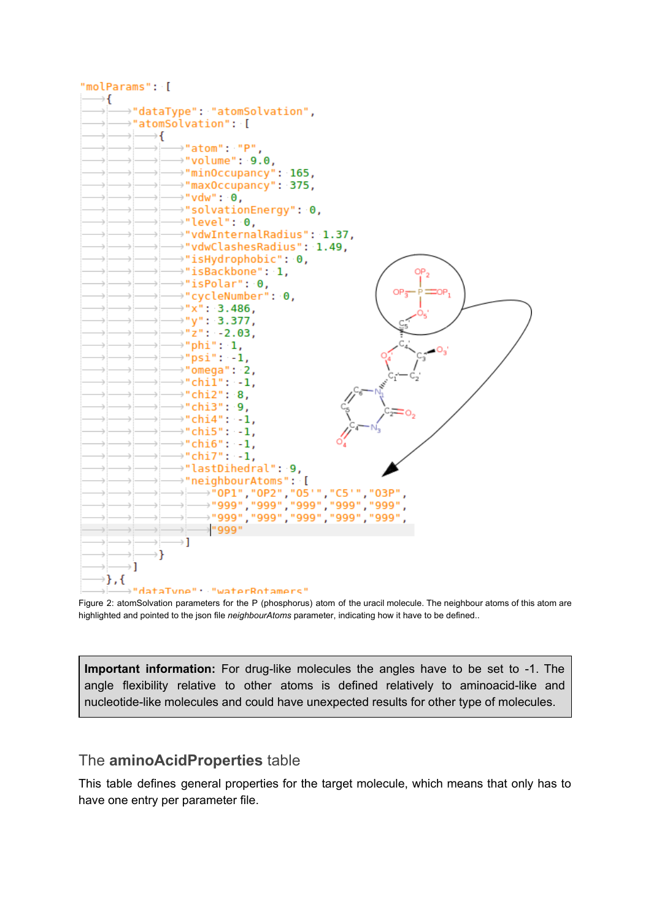

Figure 2: atomSolvation parameters for the P (phosphorus) atom of the uracil molecule. The neighbour atoms of this atom are highlighted and pointed to the json file *neighbourAtoms* parameter, indicating how it have to be defined..

**Important information:** For drug-like molecules the angles have to be set to -1. The angle flexibility relative to other atoms is defined relatively to aminoacid-like and nucleotide-like molecules and could have unexpected results for other type of molecules.

#### <span id="page-5-0"></span>The **aminoAcidProperties** table

This table defines general properties for the target molecule, which means that only has to have one entry per parameter file.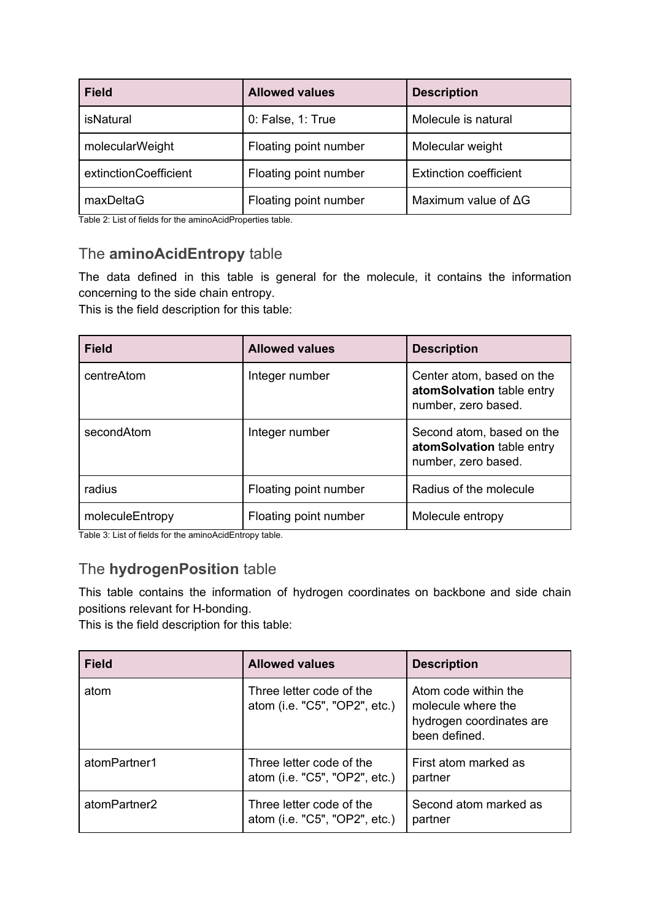| <b>Field</b>          | <b>Allowed values</b> | <b>Description</b>            |
|-----------------------|-----------------------|-------------------------------|
| <b>isNatural</b>      | 0: False, 1: True     | Molecule is natural           |
| molecularWeight       | Floating point number | Molecular weight              |
| extinctionCoefficient | Floating point number | <b>Extinction coefficient</b> |
| maxDeltaG             | Floating point number | Maximum value of $\Delta G$   |

<span id="page-6-0"></span>Table 2: List of fields for the aminoAcidProperties table.

#### The **aminoAcidEntropy** table

The data defined in this table is general for the molecule, it contains the information concerning to the side chain entropy.

This is the field description for this table:

| <b>Field</b>    | <b>Allowed values</b> | <b>Description</b>                                                            |
|-----------------|-----------------------|-------------------------------------------------------------------------------|
| centreAtom      | Integer number        | Center atom, based on the<br>atomSolvation table entry<br>number, zero based. |
| secondAtom      | Integer number        | Second atom, based on the<br>atomSolvation table entry<br>number, zero based. |
| radius          | Floating point number | Radius of the molecule                                                        |
| moleculeEntropy | Floating point number | Molecule entropy                                                              |

<span id="page-6-1"></span>Table 3: List of fields for the aminoAcidEntropy table.

#### The **hydrogenPosition** table

This table contains the information of hydrogen coordinates on backbone and side chain positions relevant for H-bonding.

This is the field description for this table:

| <b>Field</b> | <b>Allowed values</b>                                     | <b>Description</b>                                                                      |
|--------------|-----------------------------------------------------------|-----------------------------------------------------------------------------------------|
| atom         | Three letter code of the<br>atom (i.e. "C5", "OP2", etc.) | Atom code within the<br>molecule where the<br>hydrogen coordinates are<br>been defined. |
| atomPartner1 | Three letter code of the<br>atom (i.e. "C5", "OP2", etc.) | First atom marked as<br>partner                                                         |
| atomPartner2 | Three letter code of the<br>atom (i.e. "C5", "OP2", etc.) | Second atom marked as<br>partner                                                        |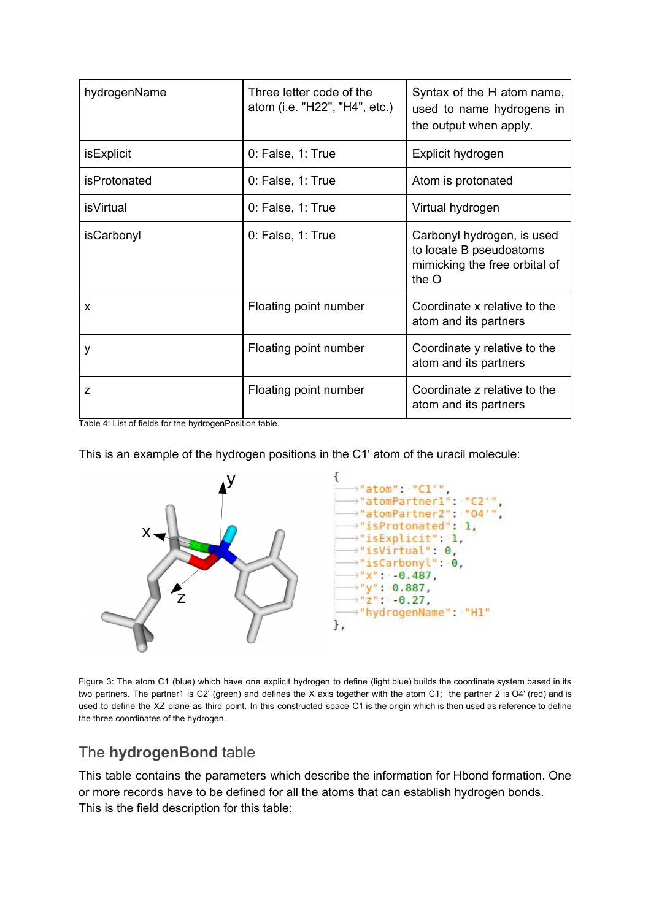| hydrogenName        | Three letter code of the<br>atom (i.e. "H22", "H4", etc.) | Syntax of the H atom name,<br>used to name hydrogens in<br>the output when apply.                 |
|---------------------|-----------------------------------------------------------|---------------------------------------------------------------------------------------------------|
| isExplicit          | 0: False, 1: True                                         | Explicit hydrogen                                                                                 |
| <i>isProtonated</i> | 0: False, 1: True                                         | Atom is protonated                                                                                |
| <i>is</i> Virtual   | 0: False, 1: True                                         | Virtual hydrogen                                                                                  |
| isCarbonyl          | 0: False, 1: True                                         | Carbonyl hydrogen, is used<br>to locate B pseudoatoms<br>mimicking the free orbital of<br>the $O$ |
| X                   | Floating point number                                     | Coordinate x relative to the<br>atom and its partners                                             |
| у                   | Floating point number                                     | Coordinate y relative to the<br>atom and its partners                                             |
| Z                   | Floating point number                                     | Coordinate z relative to the<br>atom and its partners                                             |

Table 4: List of fields for the hydrogenPosition table.

This is an example of the hydrogen positions in the C1' atom of the uracil molecule:



Figure 3: The atom C1 (blue) which have one explicit hydrogen to define (light blue) builds the coordinate system based in its two partners. The partner1 is C2' (green) and defines the X axis together with the atom C1; the partner 2 is O4' (red) and is used to define the XZ plane as third point. In this constructed space C1 is the origin which is then used as reference to define the three coordinates of the hydrogen.

#### <span id="page-7-0"></span>The **hydrogenBond** table

This table contains the parameters which describe the information for Hbond formation. One or more records have to be defined for all the atoms that can establish hydrogen bonds. This is the field description for this table: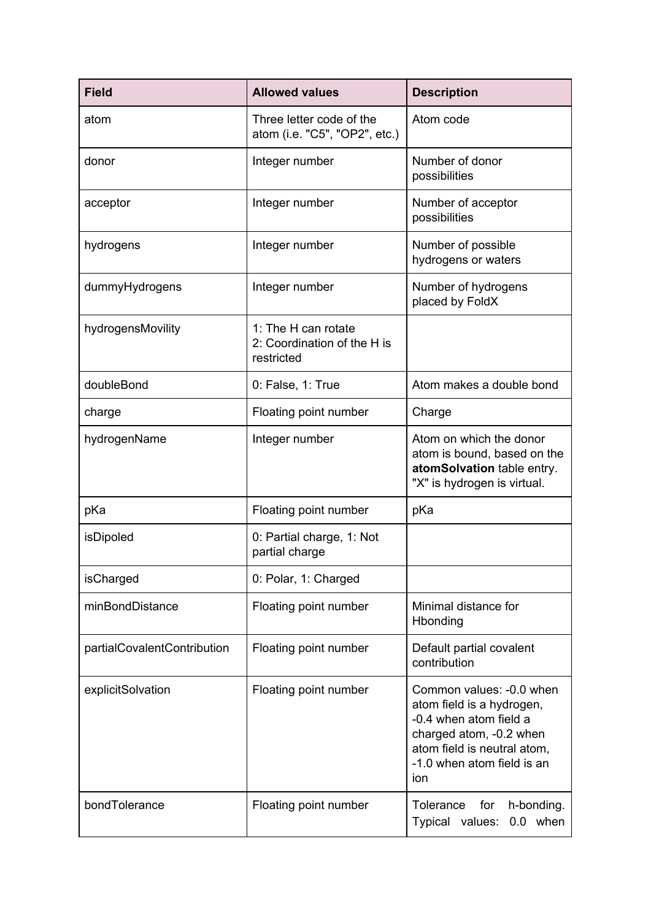| <b>Field</b>                | <b>Allowed values</b>                                            | <b>Description</b>                                                                                                                                                             |
|-----------------------------|------------------------------------------------------------------|--------------------------------------------------------------------------------------------------------------------------------------------------------------------------------|
| atom                        | Three letter code of the<br>atom (i.e. "C5", "OP2", etc.)        | Atom code                                                                                                                                                                      |
| donor                       | Integer number                                                   | Number of donor<br>possibilities                                                                                                                                               |
| acceptor                    | Integer number                                                   | Number of acceptor<br>possibilities                                                                                                                                            |
| hydrogens                   | Integer number                                                   | Number of possible<br>hydrogens or waters                                                                                                                                      |
| dummyHydrogens              | Integer number                                                   | Number of hydrogens<br>placed by FoldX                                                                                                                                         |
| hydrogensMovility           | 1: The H can rotate<br>2: Coordination of the H is<br>restricted |                                                                                                                                                                                |
| doubleBond                  | 0: False, 1: True                                                | Atom makes a double bond                                                                                                                                                       |
| charge                      | Floating point number                                            | Charge                                                                                                                                                                         |
| hydrogenName                | Integer number                                                   | Atom on which the donor<br>atom is bound, based on the<br>atomSolvation table entry.<br>"X" is hydrogen is virtual.                                                            |
| pKa                         | Floating point number                                            | pKa                                                                                                                                                                            |
| isDipoled                   | 0: Partial charge, 1: Not<br>partial charge                      |                                                                                                                                                                                |
| isCharged                   | 0: Polar, 1: Charged                                             |                                                                                                                                                                                |
| minBondDistance             | Floating point number                                            | Minimal distance for<br>Hbonding                                                                                                                                               |
| partialCovalentContribution | Floating point number                                            | Default partial covalent<br>contribution                                                                                                                                       |
| explicitSolvation           | Floating point number                                            | Common values: -0.0 when<br>atom field is a hydrogen,<br>-0.4 when atom field a<br>charged atom, -0.2 when<br>atom field is neutral atom,<br>-1.0 when atom field is an<br>ion |
| bondTolerance               | Floating point number                                            | Tolerance<br>for<br>h-bonding.<br>0.0 when<br>Typical values:                                                                                                                  |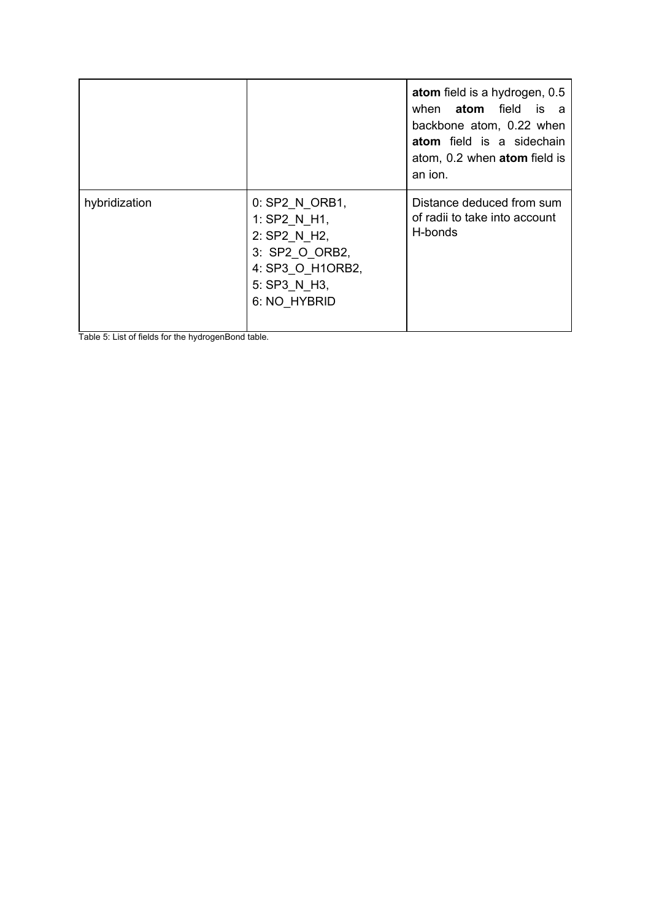|               |                                                                                                                      | atom field is a hydrogen, 0.5<br>when <b>atom</b> field is a<br>backbone atom, 0.22 when<br>atom field is a sidechain<br>atom, 0.2 when <b>atom</b> field is<br>an ion. |
|---------------|----------------------------------------------------------------------------------------------------------------------|-------------------------------------------------------------------------------------------------------------------------------------------------------------------------|
| hybridization | 0: SP2_N_ORB1,<br>1: SP2 N H1,<br>2: SP2 N H2,<br>3: SP2_O_ORB2,<br>4: SP3 O H1ORB2,<br>5: SP3 N H3,<br>6: NO HYBRID | Distance deduced from sum<br>of radii to take into account<br>H-bonds                                                                                                   |

Table 5: List of fields for the hydrogenBond table.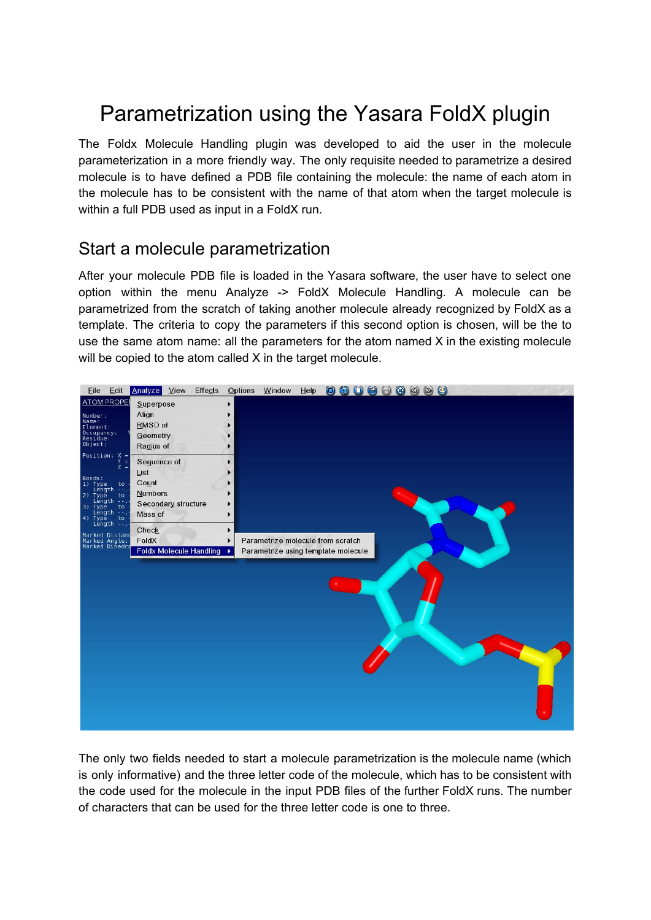# <span id="page-10-0"></span>Parametrization using the Yasara FoldX plugin

The Foldx Molecule Handling plugin was developed to aid the user in the molecule parameterization in a more friendly way. The only requisite needed to parametrize a desired molecule is to have defined a PDB file containing the molecule: the name of each atom in the molecule has to be consistent with the name of that atom when the target molecule is within a full PDB used as input in a FoldX run.

### <span id="page-10-1"></span>Start a molecule parametrization

After your molecule PDB file is loaded in the Yasara software, the user have to select one option within the menu Analyze -> FoldX Molecule Handling. A molecule can be parametrized from the scratch of taking another molecule already recognized by FoldX as a template. The criteria to copy the parameters if this second option is chosen, will be the to use the same atom name: all the parameters for the atom named X in the existing molecule will be copied to the atom called X in the target molecule.



The only two fields needed to start a molecule parametrization is the molecule name (which is only informative) and the three letter code of the molecule, which has to be consistent with the code used for the molecule in the input PDB files of the further FoldX runs. The number of characters that can be used for the three letter code is one to three.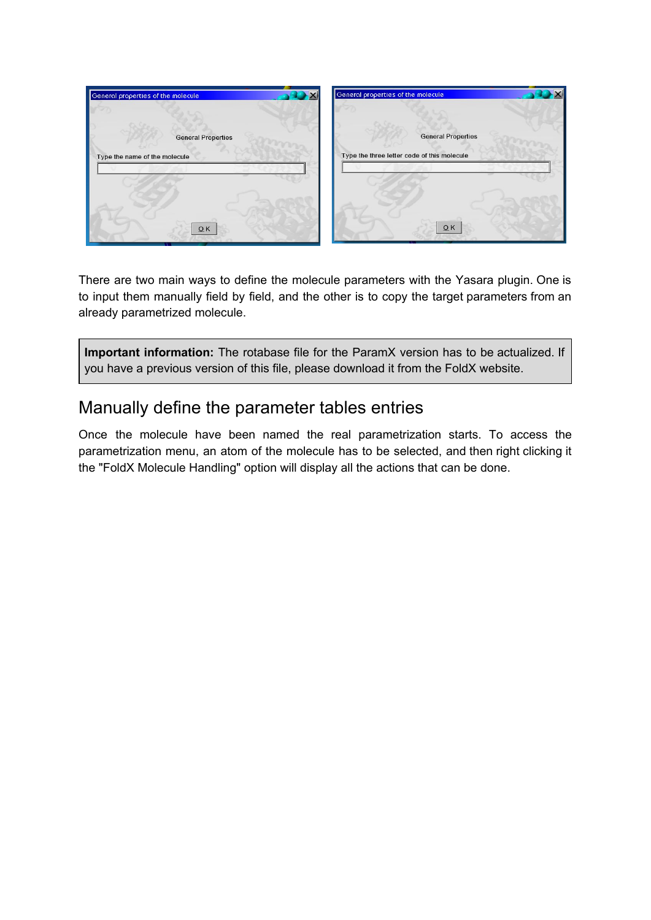

There are two main ways to define the molecule parameters with the Yasara plugin. One is to input them manually field by field, and the other is to copy the target parameters from an already parametrized molecule.

**Important information:** The rotabase file for the ParamX version has to be actualized. If you have a previous version of this file, please download it from the FoldX website.

### <span id="page-11-0"></span>Manually define the parameter tables entries

Once the molecule have been named the real parametrization starts. To access the parametrization menu, an atom of the molecule has to be selected, and then right clicking it the "FoldX Molecule Handling" option will display all the actions that can be done.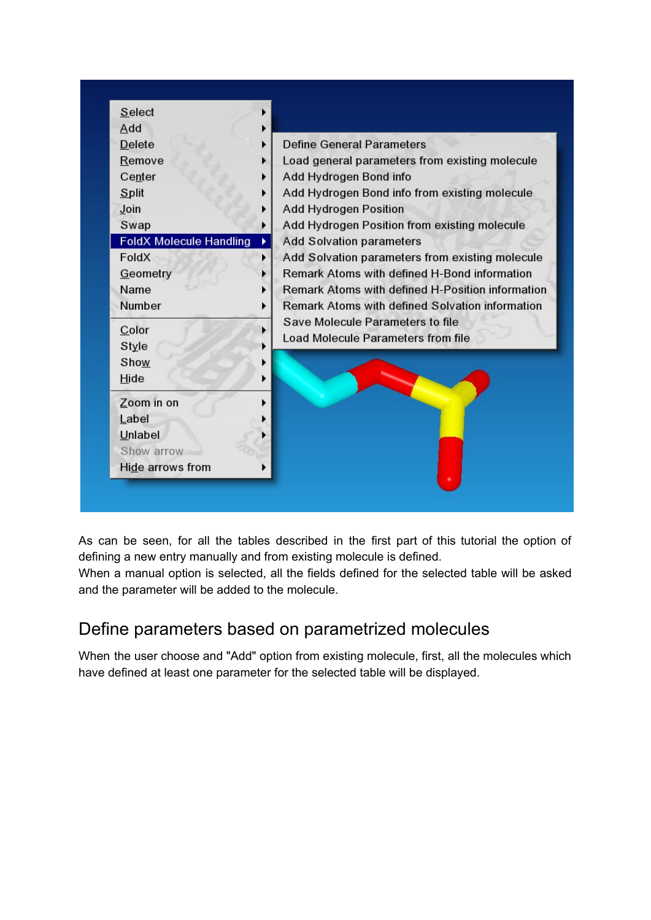

As can be seen, for all the tables described in the first part of this tutorial the option of defining a new entry manually and from existing molecule is defined.

When a manual option is selected, all the fields defined for the selected table will be asked and the parameter will be added to the molecule.

# <span id="page-12-0"></span>Define parameters based on parametrized molecules

When the user choose and "Add" option from existing molecule, first, all the molecules which have defined at least one parameter for the selected table will be displayed.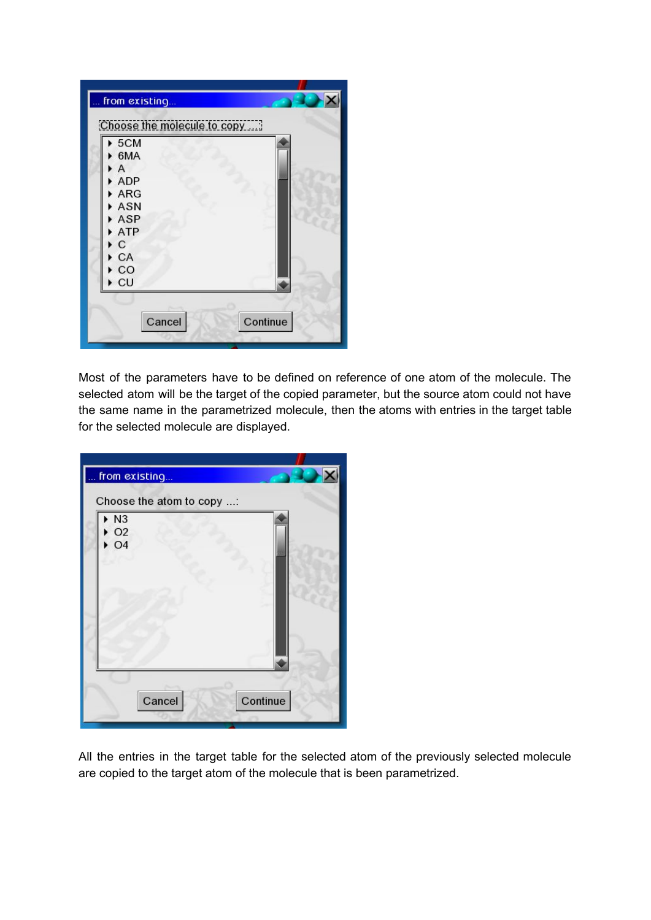

Most of the parameters have to be defined on reference of one atom of the molecule. The selected atom will be the target of the copied parameter, but the source atom could not have the same name in the parametrized molecule, then the atoms with entries in the target table for the selected molecule are displayed.



All the entries in the target table for the selected atom of the previously selected molecule are copied to the target atom of the molecule that is been parametrized.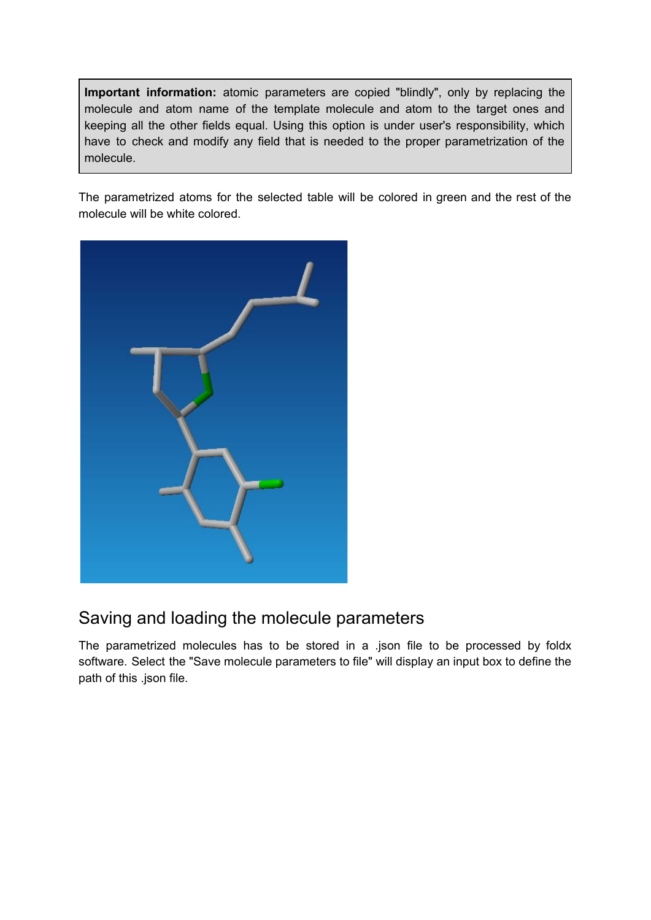**Important information:** atomic parameters are copied "blindly", only by replacing the molecule and atom name of the template molecule and atom to the target ones and keeping all the other fields equal. Using this option is under user's responsibility, which have to check and modify any field that is needed to the proper parametrization of the molecule.

The parametrized atoms for the selected table will be colored in green and the rest of the molecule will be white colored.



# <span id="page-14-0"></span>Saving and loading the molecule parameters

The parametrized molecules has to be stored in a .json file to be processed by foldx software. Select the "Save molecule parameters to file" will display an input box to define the path of this .json file.